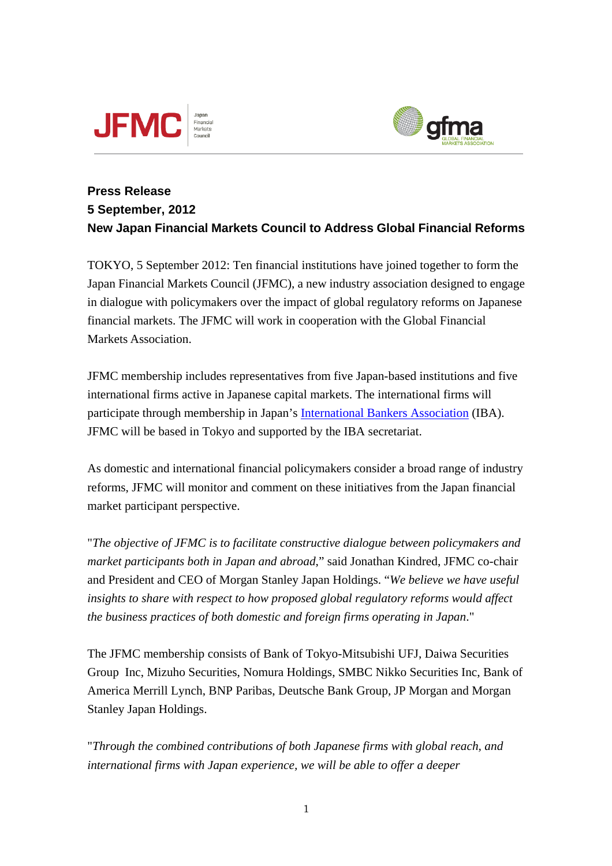



## **Press Release 5 September, 2012 New Japan Financial Markets Council to Address Global Financial Reforms**

TOKYO, 5 September 2012: Ten financial institutions have joined together to form the Japan Financial Markets Council (JFMC), a new industry association designed to engage in dialogue with policymakers over the impact of global regulatory reforms on Japanese financial markets. The JFMC will work in cooperation with the Global Financial Markets Association.

JFMC membership includes representatives from five Japan-based institutions and five international firms active in Japanese capital markets. The international firms will participate through membership in Japan's [International Bankers Association](http://ibajapan.org/#t1) (IBA). JFMC will be based in Tokyo and supported by the IBA secretariat.

As domestic and international financial policymakers consider a broad range of industry reforms, JFMC will monitor and comment on these initiatives from the Japan financial market participant perspective.

"*The objective of JFMC is to facilitate constructive dialogue between policymakers and market participants both in Japan and abroad*," said Jonathan Kindred, JFMC co-chair and President and CEO of Morgan Stanley Japan Holdings. "*We believe we have useful*  insights to share with respect to how proposed global regulatory reforms would affect *the business practices of both domestic and foreign firms operating in Japan*."

The JFMC membership consists of Bank of Tokyo-Mitsubishi UFJ, Daiwa Securities Group Inc, Mizuho Securities, Nomura Holdings, SMBC Nikko Securities Inc, Bank of America Merrill Lynch, BNP Paribas, Deutsche Bank Group, JP Morgan and Morgan Stanley Japan Holdings.

"*Through the combined contributions of both Japanese firms with global reach, and international firms with Japan experience, we will be able to offer a deeper*